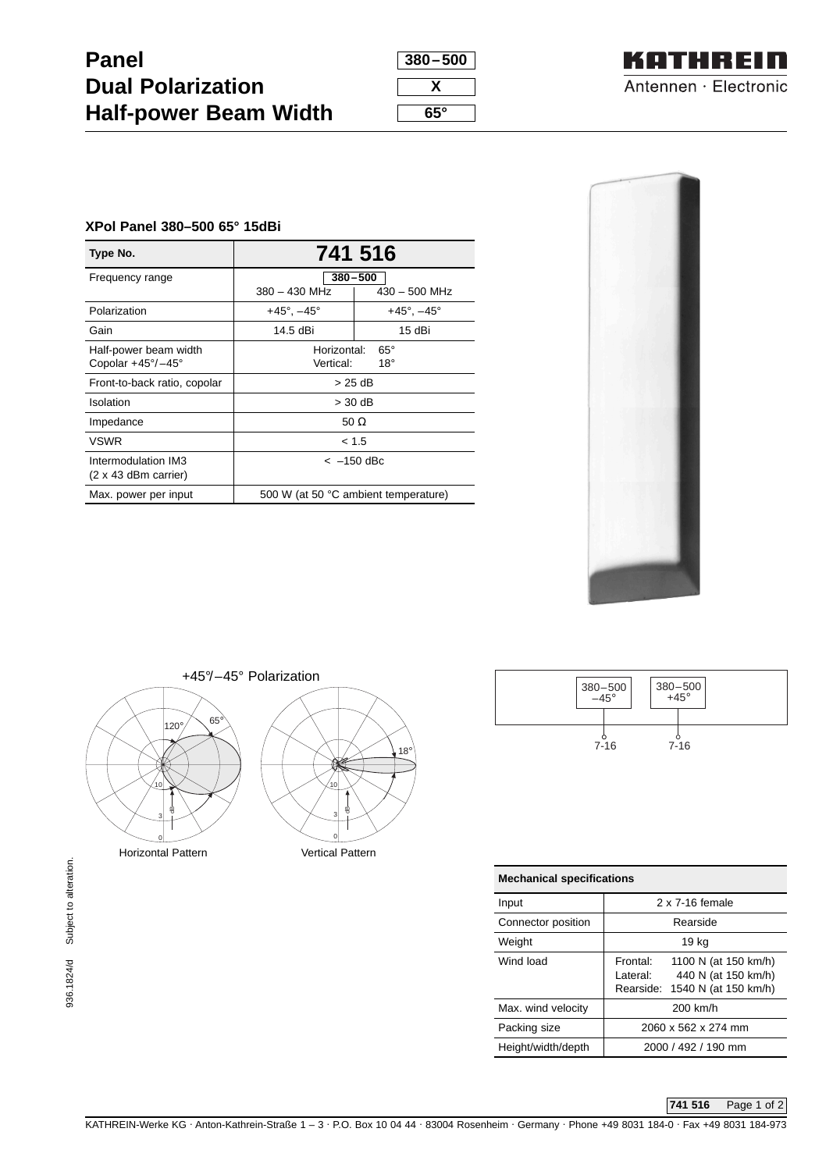| <b>Panel</b>                 |  |
|------------------------------|--|
| <b>Dual Polarization</b>     |  |
| <b>Half-power Beam Width</b> |  |

| 380-500 |  |
|---------|--|
| х       |  |
| 65°     |  |



## **XPol Panel 380–500 65° 15dBi**

| Type No.                          | 741 516                              |                           |  |
|-----------------------------------|--------------------------------------|---------------------------|--|
| Frequency range                   | $380 - 500$                          |                           |  |
|                                   | $380 - 430$ MHz                      | $430 - 500$ MHz           |  |
| Polarization                      | $+45^{\circ}$ , $-45^{\circ}$        | $+45^\circ$ , $-45^\circ$ |  |
| Gain                              | 14.5 dBi                             | 15 dBi                    |  |
| Half-power beam width             | Horizontal:<br>$65^\circ$            |                           |  |
| Copolar $+45^{\circ}/-45^{\circ}$ | Vertical:<br>$18^{\circ}$            |                           |  |
| Front-to-back ratio, copolar      | $>25$ dB                             |                           |  |
| Isolation                         | $>$ 30 dB                            |                           |  |
| Impedance                         | 50 $\Omega$                          |                           |  |
| <b>VSWR</b>                       | < 1.5                                |                           |  |
| Intermodulation IM3               | $<-150$ dBc                          |                           |  |
| $(2 \times 43$ dBm carrier)       |                                      |                           |  |
| Max. power per input              | 500 W (at 50 °C ambient temperature) |                           |  |







| <b>Mechanical specifications</b> |                                                                                                        |  |
|----------------------------------|--------------------------------------------------------------------------------------------------------|--|
| Input                            | 2 x 7-16 female                                                                                        |  |
| Connector position               | Rearside                                                                                               |  |
| Weight                           | 19 kg                                                                                                  |  |
| Wind load                        | 1100 N (at 150 km/h)<br>Frontal:<br>l ateral:<br>440 N (at 150 km/h)<br>Rearside: 1540 N (at 150 km/h) |  |
| Max. wind velocity               | 200 km/h                                                                                               |  |
| Packing size                     | 2060 x 562 x 274 mm                                                                                    |  |
| Height/width/depth               | 2000 / 492 / 190 mm                                                                                    |  |

## **741 516** Page 1 of 2